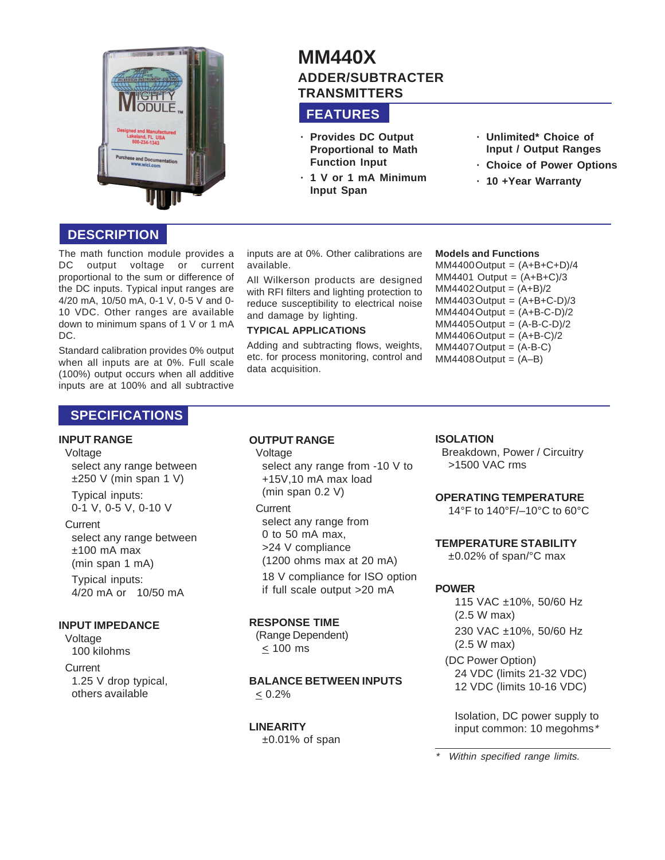

# **MM440X ADDER/SUBTRACTER TRANSMITTERS**

# **FEATURES**

- **· Provides DC Output Proportional to Math Function Input**
- **· 1 V or 1 mA Minimum Input Span**
- **· Unlimited\* Choice of Input / Output Ranges**
- **· Choice of Power Options**
- **· 10 +Year Warranty**

# **DESCRIPTION**

The math function module provides a DC output voltage or current proportional to the sum or difference of the DC inputs. Typical input ranges are 4/20 mA, 10/50 mA, 0-1 V, 0-5 V and 0- 10 VDC. Other ranges are available down to minimum spans of 1 V or 1 mA DC.

Standard calibration provides 0% output when all inputs are at 0%. Full scale (100%) output occurs when all additive inputs are at 100% and all subtractive inputs are at 0%. Other calibrations are available.

All Wilkerson products are designed with RFI filters and lighting protection to reduce susceptibility to electrical noise and damage by lighting.

### **TYPICAL APPLICATIONS**

Adding and subtracting flows, weights, etc. for process monitoring, control and data acquisition.

### **Models and Functions**

 $MM4400$  Output =  $(A+B+C+D)/4$  $MM4401$  Output =  $(A+B+C)/3$  $MM4402$  Output =  $(A+B)/2$  $MM4403$  Output =  $(A+B+C-D)/3$  $MM4404$  Output =  $(A+B-C-D)/2$  $MM4405$  Output =  $(A-B-C-D)/2$  $MM4406$  Output =  $(A+B-C)/2$  $MM4407$  Output =  $(A-B-C)$  $MM4408$  Output =  $(A-B)$ 

# **SPECIFICATIONS**

### **INPUT RANGE**

### Voltage

select any range between  $±250$  V (min span 1 V)

Typical inputs: 0-1 V, 0-5 V, 0-10 V

### **Current**

select any range between ±100 mA max (min span 1 mA) Typical inputs:

4/20 mA or 10/50 mA

### **INPUT IMPEDANCE**

Voltage 100 kilohms

**Current** 1.25 V drop typical, others available

### **OUTPUT RANGE**

### Voltage

select any range from -10 V to +15V,10 mA max load (min span 0.2 V)

**Current** select any range from 0 to 50 mA max,

>24 V compliance (1200 ohms max at 20 mA) 18 V compliance for ISO option

if full scale output >20 mA

# **RESPONSE TIME**

(Range Dependent)  $< 100$  ms

### **BALANCE BETWEEN INPUTS**  $< 0.2%$

# **LINEARITY**

 $±0.01\%$  of span

### **ISOLATION**

Breakdown, Power / Circuitry >1500 VAC rms

### **OPERATING TEMPERATURE**

14°F to 140°F/–10°C to 60°C

### **TEMPERATURE STABILITY**

±0.02% of span/°C max

# **POWER**

115 VAC ±10%, 50/60 Hz (2.5 W max) 230 VAC ±10%, 50/60 Hz (2.5 W max)

(DC Power Option) 24 VDC (limits 21-32 VDC) 12 VDC (limits 10-16 VDC)

Isolation, DC power supply to input common: 10 megohms\*

### \*Within specified range limits.